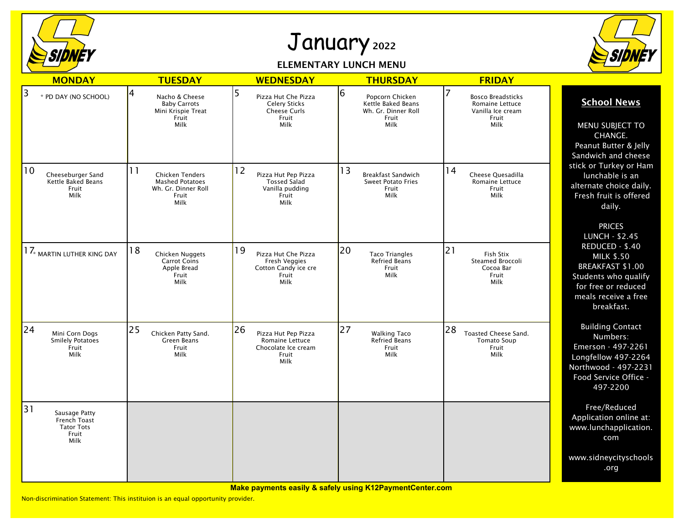

## January <sup>2022</sup>

## ELEMENTARY LUNCH MENU



| <b>MONDAY</b>                                                             | <b>TUESDAY</b>                                                                                 | <b>WEDNESDAY</b>                                                                            | <b>THURSDAY</b>                                                                    | <b>FRIDAY</b>                                                                     |                                                                                                                                                      |
|---------------------------------------------------------------------------|------------------------------------------------------------------------------------------------|---------------------------------------------------------------------------------------------|------------------------------------------------------------------------------------|-----------------------------------------------------------------------------------|------------------------------------------------------------------------------------------------------------------------------------------------------|
| 3<br>* PD DAY (NO SCHOOL)                                                 | 4<br>Nacho & Cheese<br><b>Baby Carrots</b><br>Mini Krispie Treat<br>Fruit<br>Milk              | 5<br>Pizza Hut Che Pizza<br><b>Celery Sticks</b><br>Cheese Curls<br>Fruit<br>Milk           | 6<br>Popcorn Chicken<br>Kettle Baked Beans<br>Wh. Gr. Dinner Roll<br>Fruit<br>Milk | <b>Bosco Breadsticks</b><br>Romaine Lettuce<br>Vanilla Ice cream<br>Fruit<br>Milk | <b>School News</b><br>MENU SUBJECT TO<br>CHANGE.<br>Peanut Butter & Jelly<br>Sandwich and cheese                                                     |
| $ 10\rangle$<br>Cheeseburger Sand<br>Kettle Baked Beans<br>Fruit<br>Milk  | 11<br><b>Chicken Tenders</b><br><b>Mashed Potatoes</b><br>Wh. Gr. Dinner Roll<br>Fruit<br>Milk | 12<br>Pizza Hut Pep Pizza<br><b>Tossed Salad</b><br>Vanilla pudding<br>Fruit<br>Milk        | 13<br><b>Breakfast Sandwich</b><br><b>Sweet Potato Fries</b><br>Fruit<br>Milk      | 14<br>Cheese Quesadilla<br>Romaine Lettuce<br>Fruit<br>Milk                       | stick or Turkey or Ham<br>lunchable is an<br>alternate choice daily.<br>Fresh fruit is offered<br>daily.<br><b>PRICES</b><br><b>LUNCH - \$2.45</b>   |
| $17_{\tiny *}$ martin luther king day                                     | 18<br>Chicken Nuggets<br>Carrot Coins<br>Apple Bread<br>Fruit<br>Milk                          | 19<br>Pizza Hut Che Pizza<br>Fresh Veggies<br>Cotton Candy ice cre<br>Fruit<br>Milk         | 20<br><b>Taco Triangles</b><br>Refried Beans<br>Fruit<br>Milk                      | 21<br>Fish Stix<br><b>Steamed Broccoli</b><br>Cocoa Bar<br>Fruit<br>Milk          | REDUCED - \$.40<br><b>MILK \$.50</b><br>BREAKFAST \$1.00<br><b>Students who qualify</b><br>for free or reduced<br>meals receive a free<br>breakfast. |
| 24 <br>Mini Corn Dogs<br><b>Smilely Potatoes</b><br>Fruit<br>Milk         | 25<br>Chicken Patty Sand.<br><b>Green Beans</b><br>Fruit<br>Milk                               | 26<br>Pizza Hut Pep Pizza<br><b>Romaine Lettuce</b><br>Chocolate Ice cream<br>Fruit<br>Milk | 27<br><b>Walking Taco</b><br><b>Refried Beans</b><br>Fruit<br>Milk                 | 28<br><b>Toasted Cheese Sand.</b><br><b>Tomato Soup</b><br>Fruit<br>Milk          | <b>Building Contact</b><br>Numbers:<br>Emerson - 497-2261<br>Longfellow 497-2264<br>Northwood - 497-2231<br>Food Service Office -<br>497-2200        |
| 31<br>Sausage Patty<br>French Toast<br><b>Tator Tots</b><br>Fruit<br>Milk |                                                                                                |                                                                                             |                                                                                    |                                                                                   | Free/Reduced<br>Application online at:<br>www.lunchapplication.<br>com                                                                               |
|                                                                           |                                                                                                |                                                                                             |                                                                                    |                                                                                   | www.sidneycityschools<br>.org                                                                                                                        |

**Make payments easily & safely using K12PaymentCenter.com**

Non-discrimination Statement: This instituion is an equal opportunity provider.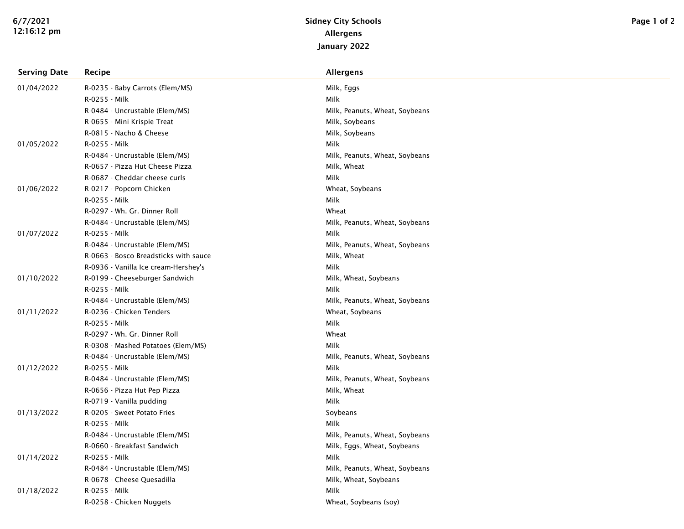| <b>Serving Date</b> | Recipe                                | <b>Allergens</b>               |  |
|---------------------|---------------------------------------|--------------------------------|--|
| 01/04/2022          | R-0235 - Baby Carrots (Elem/MS)       | Milk, Eggs                     |  |
|                     | R-0255 - Milk                         | Milk                           |  |
|                     | R-0484 - Uncrustable (Elem/MS)        | Milk, Peanuts, Wheat, Soybeans |  |
|                     | R-0655 - Mini Krispie Treat           | Milk, Soybeans                 |  |
|                     | R-0815 - Nacho & Cheese               | Milk, Soybeans                 |  |
| 01/05/2022          | R-0255 - Milk                         | Milk                           |  |
|                     | R-0484 - Uncrustable (Elem/MS)        | Milk, Peanuts, Wheat, Soybeans |  |
|                     | R-0657 - Pizza Hut Cheese Pizza       | Milk, Wheat                    |  |
|                     | R-0687 - Cheddar cheese curls         | Milk                           |  |
| 01/06/2022          | R-0217 - Popcorn Chicken              | Wheat, Soybeans                |  |
|                     | R-0255 - Milk                         | Milk                           |  |
|                     | R-0297 - Wh. Gr. Dinner Roll          | Wheat                          |  |
|                     | R-0484 - Uncrustable (Elem/MS)        | Milk, Peanuts, Wheat, Soybeans |  |
| 01/07/2022          | R-0255 - Milk                         | Milk                           |  |
|                     | R-0484 - Uncrustable (Elem/MS)        | Milk, Peanuts, Wheat, Soybeans |  |
|                     | R-0663 - Bosco Breadsticks with sauce | Milk, Wheat                    |  |
|                     | R-0936 - Vanilla Ice cream-Hershey's  | Milk                           |  |
| 01/10/2022          | R-0199 - Cheeseburger Sandwich        | Milk, Wheat, Soybeans          |  |
|                     | R-0255 - Milk                         | Milk                           |  |
|                     | R-0484 - Uncrustable (Elem/MS)        | Milk, Peanuts, Wheat, Soybeans |  |
| 01/11/2022          | R-0236 - Chicken Tenders              | Wheat, Soybeans                |  |
|                     | R-0255 - Milk                         | Milk                           |  |
|                     | R-0297 - Wh. Gr. Dinner Roll          | Wheat                          |  |
|                     | R-0308 - Mashed Potatoes (Elem/MS)    | Milk                           |  |
|                     | R-0484 - Uncrustable (Elem/MS)        | Milk, Peanuts, Wheat, Soybeans |  |
| 01/12/2022          | R-0255 - Milk                         | Milk                           |  |
|                     | R-0484 - Uncrustable (Elem/MS)        | Milk, Peanuts, Wheat, Soybeans |  |
|                     | R-0656 - Pizza Hut Pep Pizza          | Milk, Wheat                    |  |
|                     | R-0719 - Vanilla pudding              | Milk                           |  |
| 01/13/2022          | R-0205 - Sweet Potato Fries           | Soybeans                       |  |
|                     | R-0255 - Milk                         | Milk                           |  |
|                     | R-0484 - Uncrustable (Elem/MS)        | Milk, Peanuts, Wheat, Soybeans |  |
|                     | R-0660 - Breakfast Sandwich           | Milk, Eggs, Wheat, Soybeans    |  |
| 01/14/2022          | R-0255 - Milk                         | Milk                           |  |
|                     | R-0484 - Uncrustable (Elem/MS)        | Milk, Peanuts, Wheat, Soybeans |  |
|                     | R-0678 - Cheese Quesadilla            | Milk, Wheat, Soybeans          |  |
| 01/18/2022          | R-0255 - Milk                         | Milk                           |  |
|                     | R-0258 - Chicken Nuggets              | Wheat, Soybeans (soy)          |  |